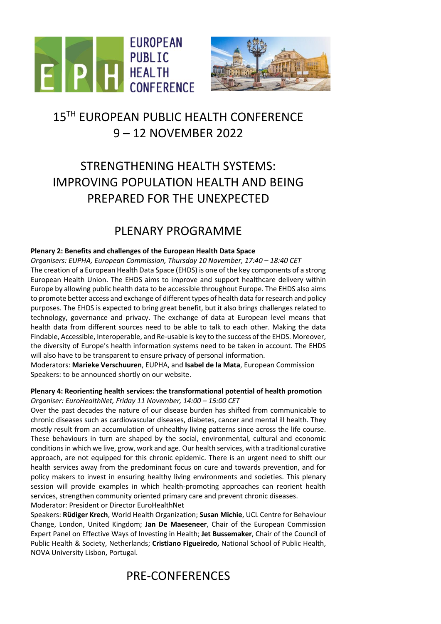



# 15<sup>TH</sup> EUROPEAN PUBLIC HEALTH CONFERENCE 9 – 12 NOVEMBER 2022

# STRENGTHENING HEALTH SYSTEMS: IMPROVING POPULATION HEALTH AND BEING PREPARED FOR THE UNEXPECTED

### PLENARY PROGRAMME

#### **Plenary 2: Benefits and challenges of the European Health Data Space**

*Organisers: EUPHA, European Commission, Thursday 10 November, 17:40 – 18:40 CET* The creation of a European Health Data Space (EHDS) is one of the key components of a strong European Health Union. The EHDS aims to improve and support healthcare delivery within Europe by allowing public health data to be accessible throughout Europe. The EHDS also aims to promote better access and exchange of different types of health data for research and policy purposes. The EHDS is expected to bring great benefit, but it also brings challenges related to technology, governance and privacy. The exchange of data at European level means that health data from different sources need to be able to talk to each other. Making the data Findable, Accessible, Interoperable, and Re-usable is key to the success of the EHDS. Moreover, the diversity of Europe's health information systems need to be taken in account. The EHDS will also have to be transparent to ensure privacy of personal information.

Moderators: **Marieke Verschuuren**, EUPHA, and **Isabel de la Mata**, European Commission Speakers: to be announced shortly on our website.

#### **Plenary 4: Reorienting health services: the transformational potential of health promotion** *Organiser: EuroHealthNet, Friday 11 November, 14:00 – 15:00 CET*

Over the past decades the nature of our disease burden has shifted from communicable to chronic diseases such as cardiovascular diseases, diabetes, cancer and mental ill health. They mostly result from an accumulation of unhealthy living patterns since across the life course. These behaviours in turn are shaped by the social, environmental, cultural and economic conditions in which we live, grow, work and age. Our health services, with a traditional curative approach, are not equipped for this chronic epidemic. There is an urgent need to shift our health services away from the predominant focus on cure and towards prevention, and for policy makers to invest in ensuring healthy living environments and societies. This plenary session will provide examples in which health-promoting approaches can reorient health services, strengthen community oriented primary care and prevent chronic diseases. Moderator: President or Director EuroHealthNet

Speakers: **Rüdiger Krech**, World Health Organization; **Susan Michie**, UCL Centre for Behaviour Change, London, United Kingdom; **Jan De Maeseneer**, Chair of the European Commission Expert Panel on Effective Ways of Investing in Health; **Jet Bussemaker**, Chair of the Council of Public Health & Society, Netherlands; **Cristiano Figueiredo,** National School of Public Health, NOVA University Lisbon, Portugal.

# PRE-CONFERENCES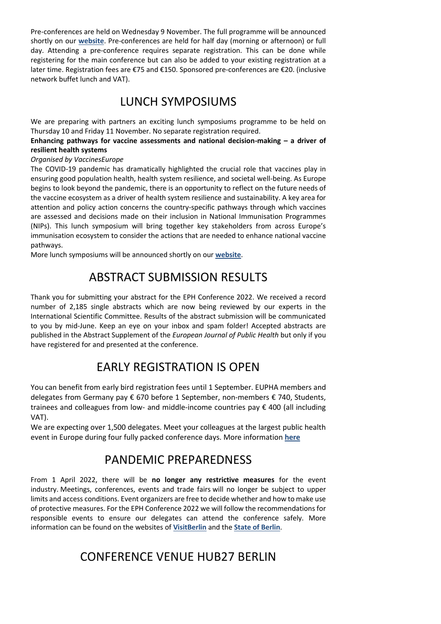Pre-conferences are held on Wednesday 9 November. The full programme will be announced shortly on our **[website](https://ephconference.eu/pre-conference-programme-422)**. Pre-conferences are held for half day (morning or afternoon) or full day. Attending a pre-conference requires separate registration. This can be done while registering for the main conference but can also be added to your existing registration at a later time. Registration fees are €75 and €150. Sponsored pre-conferences are €20. (inclusive network buffet lunch and VAT).

#### LUNCH SYMPOSIUMS

We are preparing with partners an exciting lunch symposiums programme to be held on Thursday 10 and Friday 11 November. No separate registration required.

**Enhancing pathways for vaccine assessments and national decision-making – a driver of resilient health systems**

#### *Organised by VaccinesEurope*

The COVID-19 pandemic has dramatically highlighted the crucial role that vaccines play in ensuring good population health, health system resilience, and societal well-being. As Europe begins to look beyond the pandemic, there is an opportunity to reflect on the future needs of the vaccine ecosystem as a driver of health system resilience and sustainability. A key area for attention and policy action concerns the country-specific pathways through which vaccines are assessed and decisions made on their inclusion in National Immunisation Programmes (NIPs). This lunch symposium will bring together key stakeholders from across Europe's immunisation ecosystem to consider the actions that are needed to enhance national vaccine pathways.

More lunch symposiums will be announced shortly on our **[website](https://ephconference.eu/index.php)**.

## ABSTRACT SUBMISSION RESULTS

Thank you for submitting your abstract for the EPH Conference 2022. We received a record number of 2,185 single abstracts which are now being reviewed by our experts in the International Scientific Committee. Results of the abstract submission will be communicated to you by mid-June. Keep an eye on your inbox and spam folder! Accepted abstracts are published in the Abstract Supplement of the *European Journal of Public Health* but only if you have registered for and presented at the conference.

# EARLY REGISTRATION IS OPEN

You can benefit from early bird registration fees until 1 September. EUPHA members and delegates from Germany pay € 670 before 1 September, non-members € 740, Students, trainees and colleagues from low- and middle-income countries pay € 400 (all including VAT).

We are expecting over 1,500 delegates. Meet your colleagues at the largest public health event in Europe during four fully packed conference days. More information **[here](https://ephconference.eu/registration-fees-and-information-420)**

### PANDEMIC PREPAREDNESS

From 1 April 2022, there will be **no longer any restrictive measures** for the event industry. Meetings, conferences, events and trade fairs will no longer be subject to upper limits and access conditions. Event organizers are free to decide whether and how to make use of protective measures. For the EPH Conference 2022 we will follow the recommendations for responsible events to ensure our delegates can attend the conference safely. More information can be found on the websites of **[VisitBerlin](https://convention.visitberlin.de/en/event-management-during-the-corona-pandemic)** and the **[State of Berlin](https://www.berlin.de/corona/en/measures/#:~:text=In%20addition%2C%20participants%20must%20maintain,from%20a%20Covid%2D19%20infection.)**.

### CONFERENCE VENUE HUB27 BERLIN